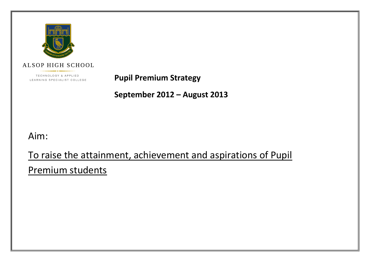

**ALSOP HIGH SCHOOL** 

TECHNOLOGY & APPLIED LEARNING SPECIALIST COLLEGE

**Pupil Premium Strategy**

**September 2012 – August 2013**

Aim:

To raise the attainment, achievement and aspirations of Pupil

Premium students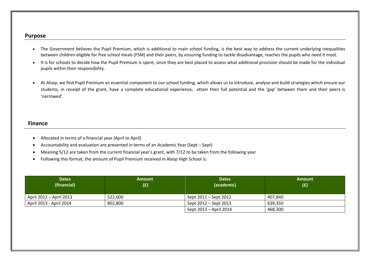#### **Purpose**

- The Government believes the Pupil Premium, which is additional to main school funding, is the best way to address the current underlying inequalities between children eligible for free school meals (FSM) and their peers, by ensuring funding to tackle disadvantage, reaches the pupils who need it most.
- It is for schools to decide how the Pupil Premium is spent, since they are best placed to assess what additional provision should be made for the individual pupils within their responsibility.
- At Alsop, we find Pupil Premium an essential component to our school funding, which allows us to introduce, analyse and build strategies which ensure our students, in receipt of the grant, have a complete educational experience, attain their full potential and the 'gap' between them and their peers is 'narrowed'.

### **Finance**

- Allocated in terms of a financial year (April to April)
- Accountability and evaluation are presented in terms of an Academic Year (Sept Sept)
- Meaning 5/12 are taken from the current financial year's grant, with 7/12 to be taken from the following year
- Following this format, the amount of Pupil Premium received in Alsop High School is:

| <b>Dates</b><br>(financial) | <b>Amount</b><br>(E) | <b>Dates</b><br>(academic) | <b>Amount</b><br>(E) |
|-----------------------------|----------------------|----------------------------|----------------------|
| April $2012 -$ April 2013   | 522,600              | Sept 2011 – Sept 2012      | 407.840              |
| April 2013 - April 2014     | 802,800              | Sept 2012 – Sept 2013      | 639.350              |
|                             |                      | Sept 2013 - April 2014     | 468,300              |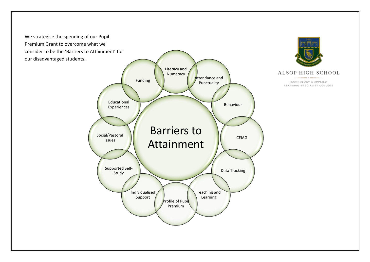We strategise the spending of our Pupil Premium Grant to overcome what we consider to be the 'Barriers to Attainment' for our disadvantaged students.

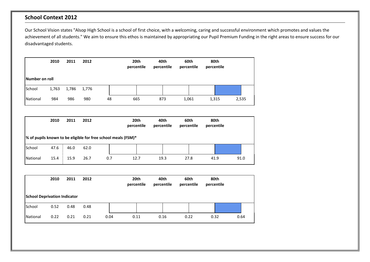# **School Context 2012**

Our School Vision states "Alsop High School is a school of first choice, with a welcoming, caring and successful environment which promotes and values the achievement of all students." We aim to ensure this ethos is maintained by appropriating our Pupil Premium Funding in the right areas to ensure success for our disadvantaged students.

|                | 2010  | 2011  | 2012  |    | 20th<br>percentile | 40th<br>percentile | 60th<br>percentile | 80th<br>percentile |       |
|----------------|-------|-------|-------|----|--------------------|--------------------|--------------------|--------------------|-------|
| Number on roll |       |       |       |    |                    |                    |                    |                    |       |
| School         | 1,763 | 1,786 | 1,776 |    |                    |                    |                    |                    |       |
| National       | 984   | 986   | 980   | 48 | 665                | 873                | 1,061              | 1,315              | 2,535 |

|          | 2010 | 2011 | 2012 |                                                               | 20th<br>percentile | 40th<br>percentile | 60th<br>percentile | 80th<br>percentile |      |
|----------|------|------|------|---------------------------------------------------------------|--------------------|--------------------|--------------------|--------------------|------|
|          |      |      |      | % of pupils known to be eligible for free school meals (FSM)* |                    |                    |                    |                    |      |
| School   | 47.6 | 46.0 | 62.0 |                                                               |                    |                    |                    |                    |      |
| National | 15.4 | 15.9 | 26.7 | 0.7                                                           | 12.7               | 19.3               | 27.8               | 41.9               | 91.0 |

|                                     | 2010 | 2011 | 2012 |      | 20th<br>percentile | 40th<br>percentile | 60th<br>percentile | 80th<br>percentile |      |
|-------------------------------------|------|------|------|------|--------------------|--------------------|--------------------|--------------------|------|
| <b>School Deprivation Indicator</b> |      |      |      |      |                    |                    |                    |                    |      |
| School                              | 0.52 | 0.48 | 0.48 |      |                    |                    |                    |                    |      |
| National                            | 0.22 | 0.21 | 0.21 | 0.04 | 0.11               | 0.16               | 0.22               | 0.32               | 0.64 |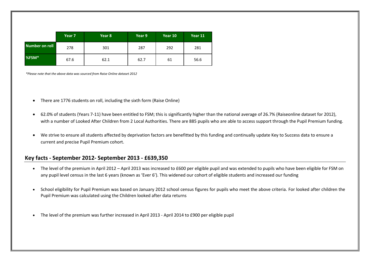|                | Year 7 | Year 8 | Year 9 | Year 10 | Year 11 |
|----------------|--------|--------|--------|---------|---------|
| Number on roll | 278    | 301    | 287    | 292     | 281     |
| %FSM*          | 67.6   | 62.1   | 62.7   | 61      | 56.6    |

*\*Please note that the above data was sourced from Raise Online dataset 2012*

- There are 1776 students on roll, including the sixth form (Raise Online)
- 62.0% of students (Years 7-11) have been entitled to FSM; this is significantly higher than the national average of 26.7% (Raiseonline dataset for 2012), with a number of Looked After Children from 2 Local Authorities. There are 885 pupils who are able to access support through the Pupil Premium funding.
- We strive to ensure all students affected by deprivation factors are benefitted by this funding and continually update Key to Success data to ensure a current and precise Pupil Premium cohort.

#### **Key facts - September 2012- September 2013 - £639,350**

- The level of the premium in April 2012 April 2013 was increased to £600 per eligible pupil and was extended to pupils who have been eligible for FSM on any pupil level census in the last 6 years (known as 'Ever 6'). This widened our cohort of eligible students and increased our funding
- School eligibility for Pupil Premium was based on January 2012 school census figures for pupils who meet the above criteria. For looked after children the Pupil Premium was calculated using the Children looked after data returns
- The level of the premium was further increased in April 2013 April 2014 to £900 per eligible pupil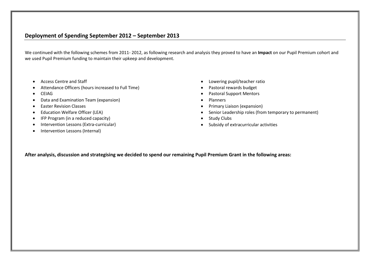### **Deployment of Spending September 2012 – September 2013**

We continued with the following schemes from 2011- 2012, as following research and analysis they proved to have an **Impact** on our Pupil Premium cohort and we used Pupil Premium funding to maintain their upkeep and development.

- Access Centre and Staff
- Attendance Officers (hours increased to Full Time)
- CEIAG
- Data and Examination Team (expansion)
- **•** Easter Revision Classes
- Education Welfare Officer (LEA)
- IFP Program (in a reduced capacity)
- Intervention Lessons (Extra-curricular)
- Intervention Lessons (Internal)
- Lowering pupil/teacher ratio
- Pastoral rewards budget
- Pastoral Support Mentors
- Planners
- Primary Liaison (expansion)
- Senior Leadership roles (from temporary to permanent)
- Study Clubs
- Subsidy of extracurricular activities

**After analysis, discussion and strategising we decided to spend our remaining Pupil Premium Grant in the following areas:**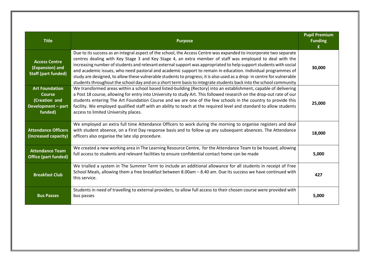| <b>Title</b>                                                                             | <b>Purpose</b>                                                                                                                                                                                                                                                                                                                                                                                                                                                                                                                                                                                                                                                                                                      | <b>Pupil Premium</b><br><b>Funding</b> |
|------------------------------------------------------------------------------------------|---------------------------------------------------------------------------------------------------------------------------------------------------------------------------------------------------------------------------------------------------------------------------------------------------------------------------------------------------------------------------------------------------------------------------------------------------------------------------------------------------------------------------------------------------------------------------------------------------------------------------------------------------------------------------------------------------------------------|----------------------------------------|
| <b>Access Centre</b><br>(Expansion) and<br><b>Staff (part funded)</b>                    | Due to its success as an integral aspect of the school, the Access Centre was expanded to incorporate two separate<br>centres dealing with Key Stage 3 and Key Stage 4, an extra member of staff was employed to deal with the<br>increasing number of students and relevant external support was appropriated to help support students with social<br>and academic issues, who need pastoral and academic support to remain in education. Individual programmes of<br>study are designed, to allow these vulnerable students to progress; it is also used as a drop- in centre for vulnerable<br>students throughout the school day and on a short term basis to integrate students back into the school community | 30,000                                 |
| <b>Art Foundation</b><br><b>Course</b><br>(Creation and<br>Development - part<br>funded) | We transformed areas within a school based listed-building (Rectory) into an establishment, capable of delivering<br>a Post 18 course, allowing for entry into University to study Art. This followed research on the drop-out rate of our<br>students entering The Art Foundation Course and we are one of the few schools in the country to provide this<br>facility. We employed qualified staff with an ability to teach at the required level and standard to allow students<br>access to limited University places.                                                                                                                                                                                           | 25,000                                 |
| <b>Attendance Officers</b><br>(increased capacity)                                       | We employed an extra full time Attendance Officers to work during the morning to organise registers and deal<br>with student absence, on a First Day response basis and to follow up any subsequent absences. The Attendance<br>officers also organise the late slip procedure.                                                                                                                                                                                                                                                                                                                                                                                                                                     | 18,000                                 |
| <b>Attendance Team</b><br><b>Office (part funded)</b>                                    | We created a new working area in The Learning Resource Centre, for the Attendance Team to be housed, allowing<br>full access to students and relevant facilities to ensure confidential contact home can be made                                                                                                                                                                                                                                                                                                                                                                                                                                                                                                    | 5,000                                  |
| <b>Breakfast Club</b>                                                                    | We trialled a system in The Summer Term to include an additional allowance for all students in receipt of Free<br>School Meals, allowing them a free breakfast between 8.00am - 8.40 am. Due its success we have continued with<br>this service.                                                                                                                                                                                                                                                                                                                                                                                                                                                                    | 427                                    |
| <b>Bus Passes</b>                                                                        | Students in need of travelling to external providers, to allow full access to their chosen course were provided with<br>bus passes                                                                                                                                                                                                                                                                                                                                                                                                                                                                                                                                                                                  | 5,000                                  |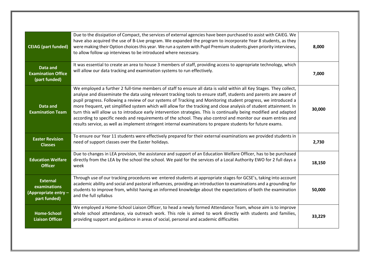| <b>CEIAG</b> (part funded)                                              | Due to the dissipation of Compact, the services of external agencies have been purchased to assist with CAIEG. We<br>have also acquired the use of B-Live program. We expanded the program to incorporate Year 8 students, as they<br>were making their Option choices this year. We run a system with Pupil Premium students given priority interviews,<br>to allow follow up interviews to be introduced where necessary.                                                                                                                                                                                                                                                                                                                                                                                                              | 8,000  |
|-------------------------------------------------------------------------|------------------------------------------------------------------------------------------------------------------------------------------------------------------------------------------------------------------------------------------------------------------------------------------------------------------------------------------------------------------------------------------------------------------------------------------------------------------------------------------------------------------------------------------------------------------------------------------------------------------------------------------------------------------------------------------------------------------------------------------------------------------------------------------------------------------------------------------|--------|
| Data and<br><b>Examination Office</b><br>(part funded)                  | It was essential to create an area to house 3 members of staff, providing access to appropriate technology, which<br>will allow our data tracking and examination systems to run effectively.                                                                                                                                                                                                                                                                                                                                                                                                                                                                                                                                                                                                                                            | 7,000  |
| Data and<br><b>Examination Team</b>                                     | We employed a further 2 full-time members of staff to ensure all data is valid within all Key Stages. They collect,<br>analyse and disseminate the data using relevant tracking tools to ensure staff, students and parents are aware of<br>pupil progress. Following a review of our systems of Tracking and Monitoring student progress, we introduced a<br>more frequent, yet simplified system which will allow for the tracking and close analysis of student attainment. In<br>turn this will allow us to introduce early intervention strategies. This is continually being modified and adapted<br>according to specific needs and requirements of the school. They also control and monitor our exam entries and<br>results service, as well as implement stringent internal examinations to prepare students for future exams. | 30,000 |
| <b>Easter Revision</b><br><b>Classes</b>                                | To ensure our Year 11 students were effectively prepared for their external examinations we provided students in<br>need of support classes over the Easter holidays.                                                                                                                                                                                                                                                                                                                                                                                                                                                                                                                                                                                                                                                                    | 2,730  |
| <b>Education Welfare</b><br><b>Officer</b>                              | Due to changes in LEA provision, the assistance and support of an Education Welfare Officer, has to be purchased<br>directly from the LEA by the school the school. We paid for the services of a Local Authority EWO for 2 full days a<br>week                                                                                                                                                                                                                                                                                                                                                                                                                                                                                                                                                                                          | 18,150 |
| <b>External</b><br>examinations<br>(Appropriate entry -<br>part funded) | Through use of our tracking procedures we entered students at appropriate stages for GCSE's, taking into account<br>academic ability and social and pastoral influences, providing an introduction to examinations and a grounding for<br>students to improve from, whilst having an informed knowledge about the expectations of both the examination<br>and the full syllabus                                                                                                                                                                                                                                                                                                                                                                                                                                                          | 50,000 |
| <b>Home-School</b><br><b>Liaison Officer</b>                            | We employed a Home-School Liaison Officer, to head a newly formed Attendance Team, whose aim is to improve<br>whole school attendance, via outreach work. This role is aimed to work directly with students and families,<br>providing support and guidance in areas of social, personal and academic difficulties                                                                                                                                                                                                                                                                                                                                                                                                                                                                                                                       | 33,229 |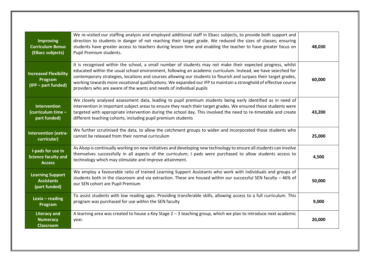| <b>Improving</b><br><b>Curriculum Bonus</b><br>(EBacc subjects)  | We re-visited our staffing analysis and employed additional staff in Ebacc subjects, to provide both support and<br>direction to students in danger of not reaching their target grade. We reduced the sizes of classes; ensuring<br>students have greater access to teachers during lesson time and enabling the teacher to have greater focus on<br>Pupil Premium students.                                                                                                                                                                | 48,030 |
|------------------------------------------------------------------|----------------------------------------------------------------------------------------------------------------------------------------------------------------------------------------------------------------------------------------------------------------------------------------------------------------------------------------------------------------------------------------------------------------------------------------------------------------------------------------------------------------------------------------------|--------|
| <b>Increased Flexibility</b><br>Program<br>(IFP - part funded)   | It is recognised within the school, a small number of students may not make their expected progress, whilst<br>educated within the usual school environment, following an academic curriculum. Instead, we have searched for<br>contemporary strategies, locations and courses allowing our students to flourish and surpass their target grades,<br>working towards more vocational qualifications. We expanded our IFP to maintain a stronghold of effective course<br>providers who are aware of the wants and needs of individual pupils | 60,000 |
| <b>Intervention</b><br>(curriculum time -<br>part funded)        | We closely analysed assessment data, leading to pupil premium students being early identified as in need of<br>intervention in important subject areas to ensure they reach their target grades. We ensured these students were<br>targeted with appropriate intervention during the school day. This involved the need to re-timetable and create<br>different teaching cohorts, including pupil premium students                                                                                                                           | 43,200 |
| <b>Intervention (extra-</b><br>curricular)                       | We further scrutinised the data, to allow the catchment groups to widen and incorporated those students who<br>cannot be released from their normal curriculum                                                                                                                                                                                                                                                                                                                                                                               | 25,000 |
| I-pads for use in<br><b>Science faculty and</b><br><b>Access</b> | As Alsop is continually working on new initiatives and developing new technology to ensure all students can involve<br>themselves successfully in all aspects of the curriculum; I pads were purchased to allow students access to<br>technology which may stimulate and improve attainment.                                                                                                                                                                                                                                                 | 4,500  |
| <b>Learning Support</b><br><b>Assistants</b><br>(part funded)    | We employ a favourable ratio of trained Learning Support Assistants who work with individuals and groups of<br>students both in the classroom and via extraction. These are housed within our successful SEN faculty $-46\%$ of<br>our SEN cohort are Pupil Premium                                                                                                                                                                                                                                                                          | 50,000 |
| Lexia $-$ reading<br>Program                                     | To assist students with low reading ages. Providing transferable skills, allowing access to a full curriculum. This<br>program was purchased for use within the SEN faculty                                                                                                                                                                                                                                                                                                                                                                  | 9,000  |
| <b>Literacy and</b><br><b>Numeracy</b><br><b>Classroom</b>       | A learning area was created to house a Key Stage $2 - 3$ teaching group, which we plan to introduce next academic<br>year.                                                                                                                                                                                                                                                                                                                                                                                                                   | 20,000 |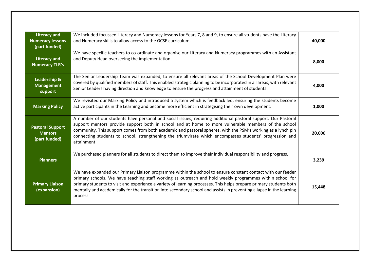| <b>Literacy and</b><br><b>Numeracy lessons</b><br>(part funded) | We included focussed Literacy and Numeracy lessons for Years 7, 8 and 9, to ensure all students have the Literacy<br>and Numeracy skills to allow access to the GCSE curriculum.                                                                                                                                                                                                                                                                                                  | 40,000 |
|-----------------------------------------------------------------|-----------------------------------------------------------------------------------------------------------------------------------------------------------------------------------------------------------------------------------------------------------------------------------------------------------------------------------------------------------------------------------------------------------------------------------------------------------------------------------|--------|
| <b>Literacy and</b><br><b>Numeracy TLR's</b>                    | We have specific teachers to co-ordinate and organise our Literacy and Numeracy programmes with an Assistant<br>and Deputy Head overseeing the implementation.                                                                                                                                                                                                                                                                                                                    | 8,000  |
| Leadership &<br><b>Management</b><br>support                    | The Senior Leadership Team was expanded, to ensure all relevant areas of the School Development Plan were<br>covered by qualified members of staff. This enabled strategic planning to be incorporated in all areas, with relevant<br>Senior Leaders having direction and knowledge to ensure the progress and attainment of students.                                                                                                                                            | 4,000  |
| <b>Marking Policy</b>                                           | We revisited our Marking Policy and introduced a system which is feedback led, ensuring the students become<br>active participants in the Learning and become more efficient in strategising their own development.                                                                                                                                                                                                                                                               | 1,000  |
| <b>Pastoral Support</b><br><b>Mentors</b><br>(part funded)      | A number of our students have personal and social issues, requiring additional pastoral support. Our Pastoral<br>support mentors provide support both in school and at home to more vulnerable members of the school<br>community. This support comes from both academic and pastoral spheres, with the PSM's working as a lynch pin<br>connecting students to school, strengthening the triumvirate which encompasses students' progression and<br>attainment.                   | 20,000 |
| <b>Planners</b>                                                 | We purchased planners for all students to direct them to improve their individual responsibility and progress.                                                                                                                                                                                                                                                                                                                                                                    | 3,239  |
| <b>Primary Liaison</b><br>(expansion)                           | We have expanded our Primary Liaison programme within the school to ensure constant contact with our feeder<br>primary schools. We have teaching staff working as outreach and hold weekly programmes within school for<br>primary students to visit and experience a variety of learning processes. This helps prepare primary students both<br>mentally and academically for the transition into secondary school and assists in preventing a lapse in the learning<br>process. | 15,448 |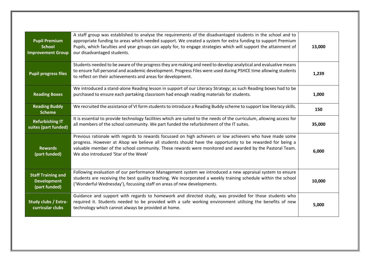| <b>Pupil Premium</b><br><b>School</b><br><b>Improvement Group</b> | A staff group was established to analyse the requirements of the disadvantaged students in the school and to<br>appropriate funding to areas which needed support. We created a system for extra funding to support Premium<br>Pupils, which faculties and year groups can apply for, to engage strategies which will support the attainment of<br>our disadvantaged students. | 13,000 |
|-------------------------------------------------------------------|--------------------------------------------------------------------------------------------------------------------------------------------------------------------------------------------------------------------------------------------------------------------------------------------------------------------------------------------------------------------------------|--------|
| <b>Pupil progress files</b>                                       | Students needed to be aware of the progress they are making and need to develop analytical and evaluative means<br>to ensure full personal and academic development. Progress Files were used during PSHCE time allowing students<br>to reflect on their achievements and areas for development.                                                                               | 1,239  |
| <b>Reading Boxes</b>                                              | We introduced a stand-alone Reading lesson in support of our Literacy Strategy; as such Reading boxes had to be<br>purchased to ensure each partaking classroom had enough reading materials for students.                                                                                                                                                                     | 1,000  |
| <b>Reading Buddy</b><br><b>Scheme</b>                             | We recruited the assistance of VI form students to introduce a Reading Buddy scheme to support low literacy skills.                                                                                                                                                                                                                                                            | 150    |
| <b>Refurbishing IT</b><br>suites (part funded)                    | It is essential to provide technology facilities which are suited to the needs of the curriculum, allowing access for<br>all members of the school community. We part funded the refurbishment of the IT suites.                                                                                                                                                               | 35,000 |
| <b>Rewards</b><br>(part funded)                                   | Previous rationale with regards to rewards focussed on high achievers or low achievers who have made some<br>progress. However at Alsop we believe all students should have the opportunity to be rewarded for being a<br>valuable member of the school community. These rewards were monitored and awarded by the Pastoral Team.<br>We also introduced 'Star of the Week'     | 6,000  |
| <b>Staff Training and</b><br><b>Development</b><br>(part funded)  | Following evaluation of our performance Management system we introduced a new appraisal system to ensure<br>students are receiving the best quality teaching. We incorporated a weekly training schedule within the school<br>('Wonderful Wednesday'), focussing staff on areas of new developments.                                                                           | 10,000 |
| <b>Study clubs / Extra-</b><br>curricular clubs                   | Guidance and support with regards to homework and directed study, was provided for those students who<br>required it. Students needed to be provided with a safe working environment utilising the benefits of new<br>technology which cannot always be provided at home.                                                                                                      | 5,000  |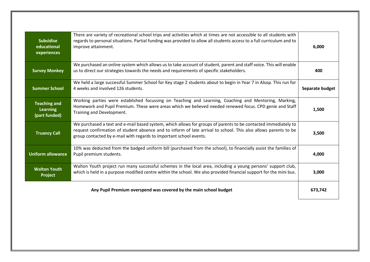| <b>Subsidise</b><br>educational<br>experiences          | There are variety of recreational school trips and activities which at times are not accessible to all students with<br>regards to personal situations. Partial funding was provided to allow all students access to a full curriculum and to<br>improve attainment.                                    | 6,000           |
|---------------------------------------------------------|---------------------------------------------------------------------------------------------------------------------------------------------------------------------------------------------------------------------------------------------------------------------------------------------------------|-----------------|
| <b>Survey Monkey</b>                                    | We purchased an online system which allows us to take account of student, parent and staff voice. This will enable<br>us to direct our strategies towards the needs and requirements of specific stakeholders.                                                                                          | 400             |
| <b>Summer School</b>                                    | We held a large successful Summer School for Key stage 2 students about to begin in Year 7 in Alsop. This run for<br>4 weeks and involved 126 students.                                                                                                                                                 | Separate budget |
| <b>Teaching and</b><br><b>Learning</b><br>(part funded) | Working parties were established focussing on Teaching and Learning, Coaching and Mentoring, Marking,<br>Homework and Pupil Premium. These were areas which we believed needed renewed focus. CPD genie and Staff<br>Training and Development.                                                          | 1,500           |
| <b>Truancy Call</b>                                     | We purchased a text and e-mail based system, which allows for groups of parents to be contacted immediately to<br>request confirmation of student absence and to inform of late arrival to school. This also allows parents to be<br>group contacted by e-mail with regards to important school events. | 3,500           |
| <b>Uniform allowance</b>                                | 10% was deducted from the badged uniform bill (purchased from the school), to financially assist the families of<br>Pupil premium students.                                                                                                                                                             | 4,000           |
| <b>Walton Youth</b><br>Project                          | Walton Youth project run many successful schemes in the local area, including a young persons' support club,<br>which is held in a purpose modified centre within the school. We also provided financial support for the mini bus.                                                                      | 3,000           |
|                                                         | Any Pupil Premium overspend was covered by the main school budget                                                                                                                                                                                                                                       | 673,742         |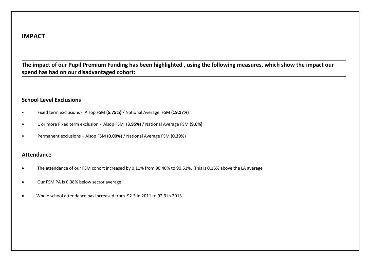**The impact of our Pupil Premium Funding has been highlighted , using the following measures, which show the impact our spend has had on our disadvantaged cohort:**

# **School Level Exclusions**

- Fixed term exclusions Alsop FSM **(5.75%)** / National Average FSM **(19.17%)**
- 1 or more Fixed term exclusion Alsop FSM (**3.95%**) / National Average FSM (**9.6%)**
- Permanent exclusions Alsop FSM (**0.00%**) / National Average FSM (**0.29%**)

# **Attendance**

- The attendance of our FSM cohort increased by 0.11% from 90.40% to 90.51%. This is 0.16% above the LA average
- Our FSM PA is 0.38% below sector average
- Whole school attendance has increased from 92.3 in 2011 to 92.9 in 2013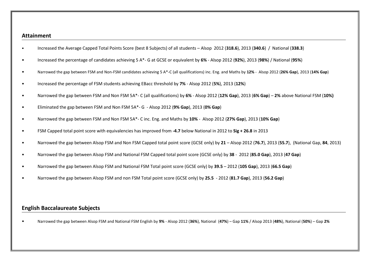#### **Attainment**

- Increased the Average Capped Total Points Score (best 8 Subjects) of all students Alsop 2012 (**318.6**), 2013 (**340.6**) / National (**338.3**)
- Increased the percentage of candidates achieving 5 A\*- G at GCSE or equivalent by **6%** Alsop 2012 (**92%**), 2013 (**98%**) / National (**95%**)
- Narrowed the gap between FSM and Non-FSM candidates achieving 5 A\*-C (all qualifications) inc. Eng. and Maths by **12%** Alsop 2012 (**26% Gap**), 2013 (**14% Gap**)
- Increased the percentage of FSM students achieving EBacc threshold by **7%** Alsop 2012 (**5%**), 2013 (**12%**)
- Narrowed the gap between FSM and Non FSM 5A\*- C (all qualifications) by **6%** Alsop 2012 (**12% Gap**), 2013 (**6% Gap**) **2%** above National FSM (**10%)**
- Eliminated the gap between FSM and Non FSM 5A\*- G Alsop 2012 (**9% Gap**), 2013 (**0% Gap**)
- Narrowed the gap between FSM and Non FSM 5A\*- C inc. Eng. and Maths by **10%** Alsop 2012 (**27% Gap**), 2013 (**10% Gap**)
- FSM Capped total point score with equivalencies has improved from **-4.7** below National in 2012 to **Sig + 26.8** in 2013
- Narrowed the gap between Alsop FSM and Non FSM Capped total point score (GCSE only) by **21** Alsop 2012 (**76.7**), 2013 (**55.7**), (National Gap, **84**, 2013)
- Narrowed the gap between Alsop FSM and National FSM Capped total point score (GCSE only) by **38** 2012 (**85.0 Gap**), 2013 (**47 Gap**)
- Narrowed the gap between Alsop FSM and National FSM Total point score (GCSE only) by **39.5** 2012 (**105 Gap**), 2013 (**66.5 Gap**)
- Narrowed the gap between Alsop FSM and non FSM Total point score (GCSE only) by **25.5** 2012 (**81.7 Gap**), 2013 (**56.2 Gap**)

# **English Baccalaureate Subjects**

• Narrowed the gap between Alsop FSM and National FSM English by **9%** - Alsop 2012 (**36%**), National (**47%**) – Gap **11%** / Alsop 2013 (**48%**), National (**50%**) – Gap **2%**